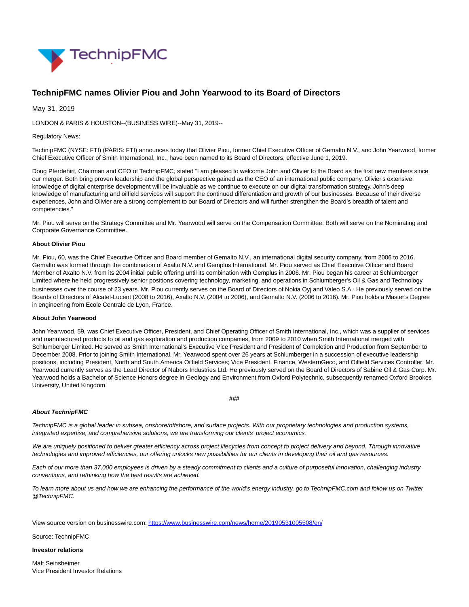

# **TechnipFMC names Olivier Piou and John Yearwood to its Board of Directors**

May 31, 2019

LONDON & PARIS & HOUSTON--(BUSINESS WIRE)--May 31, 2019--

#### Regulatory News:

TechnipFMC (NYSE: FTI) (PARIS: FTI) announces today that Olivier Piou, former Chief Executive Officer of Gemalto N.V., and John Yearwood, former Chief Executive Officer of Smith International, Inc., have been named to its Board of Directors, effective June 1, 2019.

Doug Pferdehirt, Chairman and CEO of TechnipFMC, stated "I am pleased to welcome John and Olivier to the Board as the first new members since our merger. Both bring proven leadership and the global perspective gained as the CEO of an international public company. Olivier's extensive knowledge of digital enterprise development will be invaluable as we continue to execute on our digital transformation strategy. John's deep knowledge of manufacturing and oilfield services will support the continued differentiation and growth of our businesses. Because of their diverse experiences, John and Olivier are a strong complement to our Board of Directors and will further strengthen the Board's breadth of talent and competencies."

Mr. Piou will serve on the Strategy Committee and Mr. Yearwood will serve on the Compensation Committee. Both will serve on the Nominating and Corporate Governance Committee.

#### **About Olivier Piou**

Mr. Piou, 60, was the Chief Executive Officer and Board member of Gemalto N.V., an international digital security company, from 2006 to 2016. Gemalto was formed through the combination of Axalto N.V. and Gemplus International. Mr. Piou served as Chief Executive Officer and Board Member of Axalto N.V. from its 2004 initial public offering until its combination with Gemplus in 2006. Mr. Piou began his career at Schlumberger Limited where he held progressively senior positions covering technology, marketing, and operations in Schlumberger's Oil & Gas and Technology businesses over the course of 23 years. Mr. Piou currently serves on the Board of Directors of Nokia Oyj and Valeo S.A. He previously served on the Boards of Directors of Alcatel-Lucent (2008 to 2016), Axalto N.V. (2004 to 2006), and Gemalto N.V. (2006 to 2016). Mr. Piou holds a Master's Degree in engineering from Ecole Centrale de Lyon, France.

#### **About John Yearwood**

John Yearwood, 59, was Chief Executive Officer, President, and Chief Operating Officer of Smith International, Inc., which was a supplier of services and manufactured products to oil and gas exploration and production companies, from 2009 to 2010 when Smith International merged with Schlumberger Limited. He served as Smith International's Executive Vice President and President of Completion and Production from September to December 2008. Prior to joining Smith International, Mr. Yearwood spent over 26 years at Schlumberger in a succession of executive leadership positions, including President, North and South America Oilfield Services; Vice President, Finance, WesternGeco, and Oilfield Services Controller. Mr. Yearwood currently serves as the Lead Director of Nabors Industries Ltd. He previously served on the Board of Directors of Sabine Oil & Gas Corp. Mr. Yearwood holds a Bachelor of Science Honors degree in Geology and Environment from Oxford Polytechnic, subsequently renamed Oxford Brookes University, United Kingdom.

#### **###**

### **About TechnipFMC**

TechnipFMC is a global leader in subsea, onshore/offshore, and surface projects. With our proprietary technologies and production systems, integrated expertise, and comprehensive solutions, we are transforming our clients' project economics.

We are uniquely positioned to deliver greater efficiency across project lifecycles from concept to project delivery and beyond. Through innovative technologies and improved efficiencies, our offering unlocks new possibilities for our clients in developing their oil and gas resources.

Each of our more than 37,000 employees is driven by a steady commitment to clients and a culture of purposeful innovation, challenging industry conventions, and rethinking how the best results are achieved.

To learn more about us and how we are enhancing the performance of the world's energy industry, go to TechnipFMC.com and follow us on Twitter @TechnipFMC.

View source version on businesswire.com:<https://www.businesswire.com/news/home/20190531005508/en/>

Source: TechnipFMC

#### **Investor relations**

Matt Seinsheimer Vice President Investor Relations